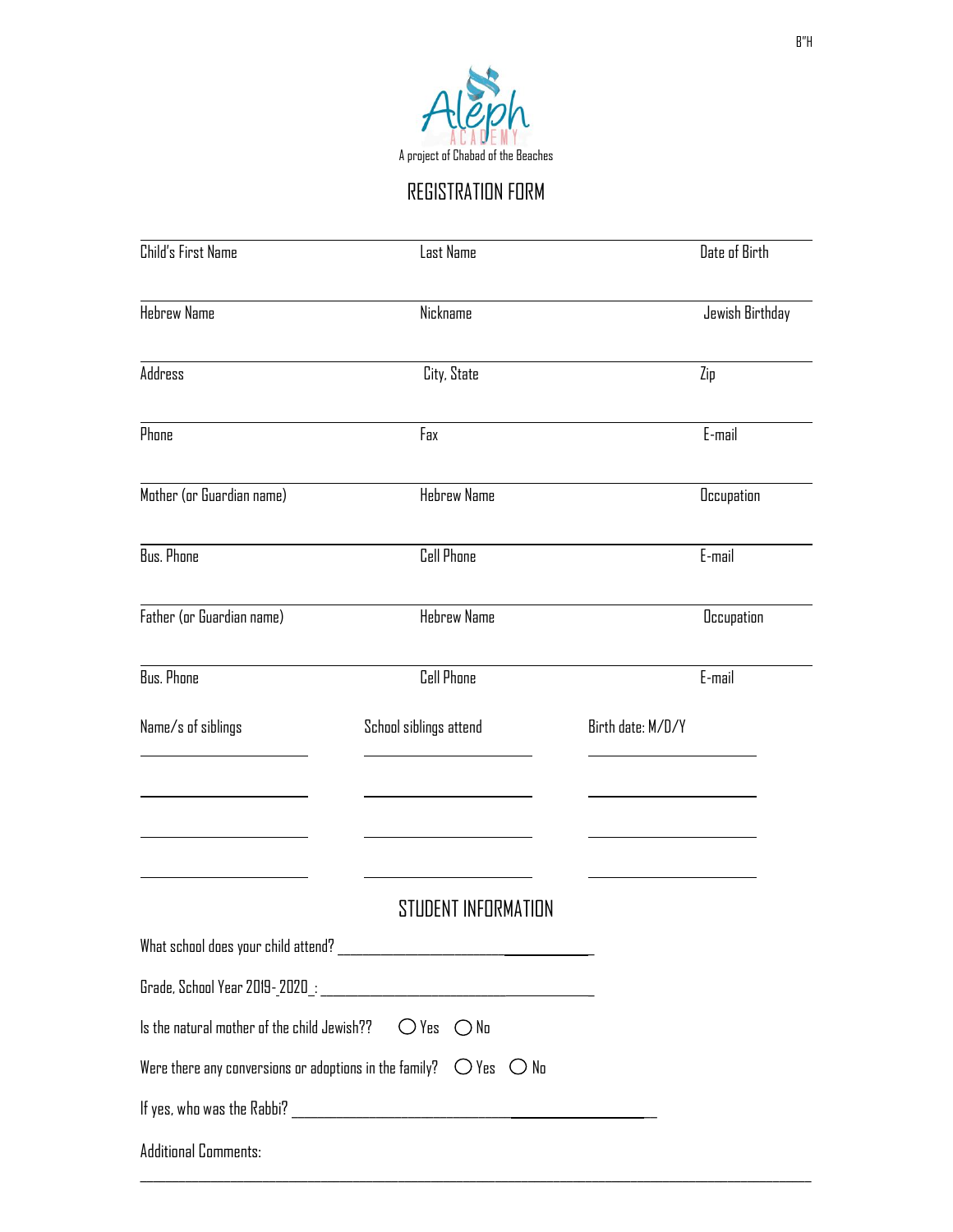

REGISTRATION FORM

| Child's First Name                                                       | Last Name                                                                           |                   | Date of Birth     |  |
|--------------------------------------------------------------------------|-------------------------------------------------------------------------------------|-------------------|-------------------|--|
| <b>Hebrew Name</b>                                                       | Nickname                                                                            |                   | Jewish Birthday   |  |
| Address                                                                  | City, State                                                                         |                   | Zip               |  |
| Phone                                                                    | Fax                                                                                 |                   | E-mail            |  |
| Mother (or Guardian name)                                                | <b>Hebrew Name</b>                                                                  |                   | <b>Occupation</b> |  |
| <b>Bus. Phone</b>                                                        | <b>Cell Phone</b>                                                                   |                   | E-mail            |  |
| Father (or Guardian name)                                                | <b>Hebrew Name</b>                                                                  |                   |                   |  |
| <b>Bus. Phone</b>                                                        | <b>Cell Phone</b>                                                                   |                   | E-mail            |  |
| Name/s of siblings                                                       | School siblings attend                                                              | Birth date: M/D/Y |                   |  |
|                                                                          |                                                                                     |                   |                   |  |
|                                                                          | STUDENT INFORMATION                                                                 |                   |                   |  |
|                                                                          |                                                                                     |                   |                   |  |
|                                                                          |                                                                                     |                   |                   |  |
| Is the natural mother of the child Jewish?? $\bigcirc$ Yes $\bigcirc$ No |                                                                                     |                   |                   |  |
|                                                                          | Were there any conversions or adoptions in the family? $\bigcirc$ Yes $\bigcirc$ No |                   |                   |  |
|                                                                          |                                                                                     |                   |                   |  |
| <b>Additional Comments:</b>                                              |                                                                                     |                   |                   |  |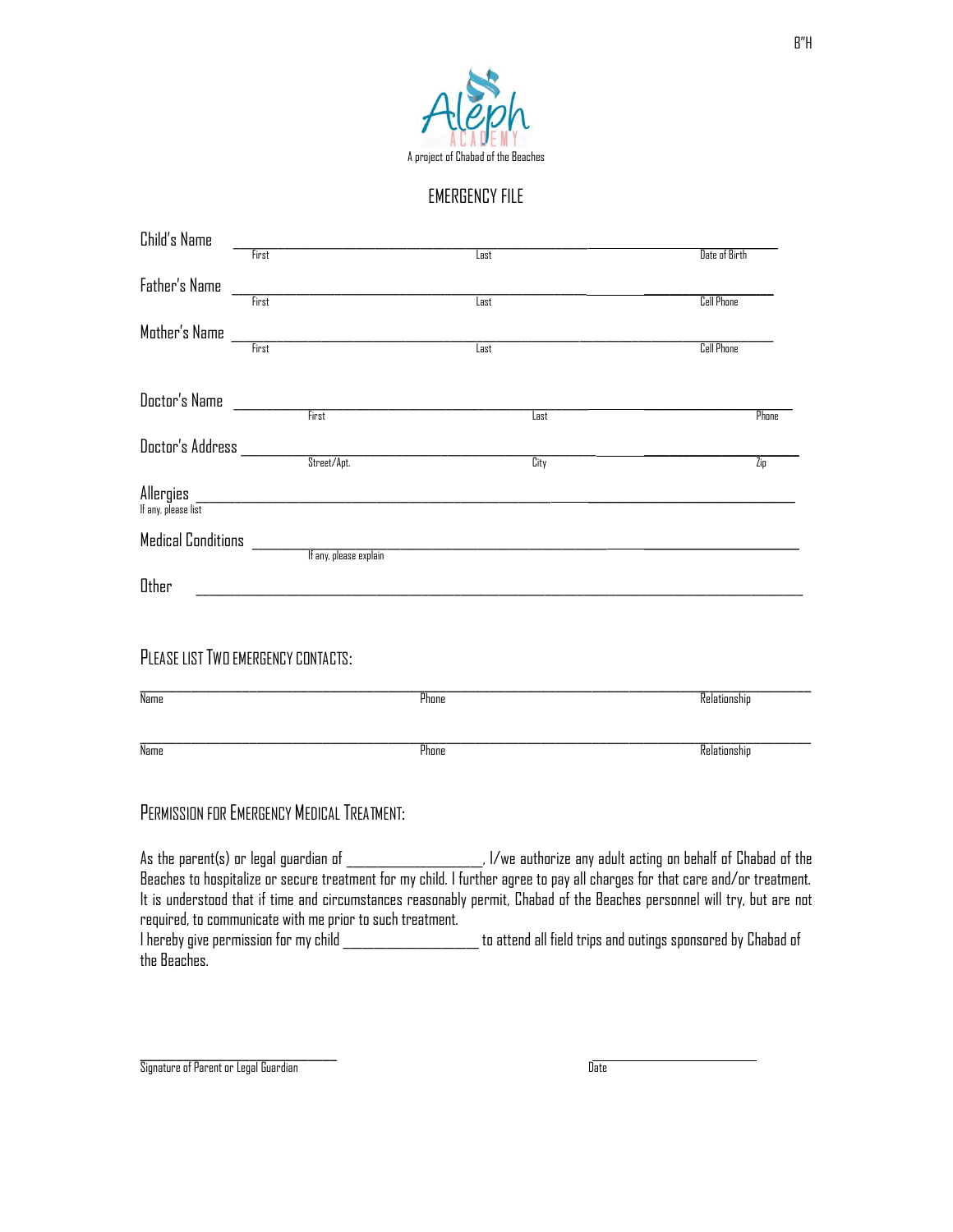

#### EMERGENCY FILE

| Child's Name                     |                                                                                                            |       |                          |                   |
|----------------------------------|------------------------------------------------------------------------------------------------------------|-------|--------------------------|-------------------|
|                                  | First                                                                                                      | Last  |                          | Date of Birth     |
| Father's Name                    | First                                                                                                      | Last  |                          | <b>Cell Phone</b> |
|                                  |                                                                                                            | Last  |                          |                   |
|                                  |                                                                                                            |       |                          | <b>Cell Phone</b> |
| Doctor's Name                    | First                                                                                                      |       | $\overline{\text{Last}}$ | Phone             |
|                                  |                                                                                                            |       |                          |                   |
| Doctor's Address ________        | <br> -<br> Street/Apt.                                                                                     |       | <b>City</b>              | Zio               |
| Allergies<br>If any, please list | <u> 1980 - Jan Barbara, martin da kasar Amerika (h. 1982).</u><br>1900 - Jan Barbara, manazarta (h. 1982). |       |                          |                   |
|                                  |                                                                                                            |       |                          |                   |
| Other                            | <u> 1989 - Johann Barbara, martxa alemaniar a</u>                                                          |       |                          |                   |
|                                  | PLEASE LIST TWO EMERGENCY CONTACTS:                                                                        |       |                          |                   |
| <b>Name</b>                      |                                                                                                            | Phone |                          | Relationship      |
| Name                             |                                                                                                            | Phone |                          | Relationship      |
|                                  | PERMISSION FOR EMERGENCY MEDICAL TREATMENT:                                                                |       |                          |                   |
|                                  |                                                                                                            |       |                          |                   |

Beaches to hospitalize or secure treatment for my child. I further agree to pay all charges for that care and/or treatment. It is understood that if time and circumstances reasonably permit, Chabad of the Beaches personnel will try, but are not required, to communicate with me prior to such treatment.

I hereby give permission for my child \_\_\_\_\_\_\_\_\_\_\_\_\_\_\_\_\_\_\_\_\_\_ to attend all field trips and outings sponsored by Chabad of the Beaches.

 $\mathcal{L}=\mathcal{L}^{\text{max}}$ Signature of Parent or Legal Guardian Date (Date of Date of Date of Date of Date of Date of Date of Date of Date of Date of Date of Date of Date of Date of Date of Date of Date of Date of Date of Date of Date of Date of Da